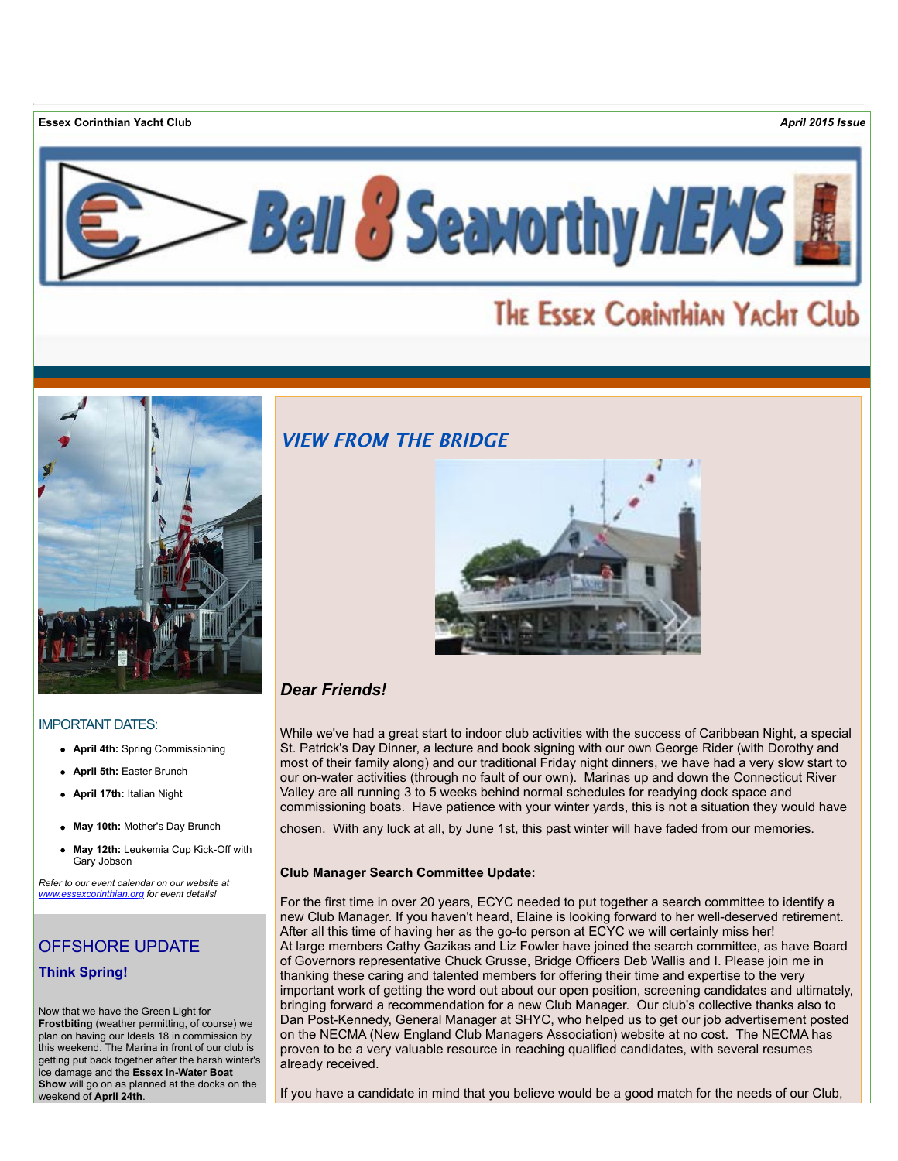**Essex Corinthian Yacht Club** *April 2015 Issue*



# THE ESSEX CORINTHIAN YACHT Club



### IMPORTANT DATES:

- **April 4th:** Spring Commissioning
- **April 5th:** Easter Brunch
- **April 17th:** Italian Night
- **May 10th:** Mother's Day Brunch
- **May 12th:** Leukemia Cup Kick-Off with Gary Jobson

*Refer to our event calendar on our website at [www.essexcorinthian.org](http://r20.rs6.net/tn.jsp?e=0013bWYfMFswkB5iqTT9mWJfsSKYTb1TXfHvO72Bxou-pgussqz6SDzl7LPAoa5Equ_wJu0ID_fjEz41iVuor1BDxNQmuj2o33G0-AMpGt_GLSTy_eZIJGN4w==) for event details!*

# OFFSHORE UPDATE **Think Spring!**

Now that we have the Green Light for **Frostbiting** (weather permitting, of course) we plan on having our Ideals 18 in commission by this weekend. The Marina in front of our club is getting put back together after the harsh winter's ice damage and the **Essex In-Water Boat Show** will go on as planned at the docks on the weekend of **April 24th**.

### **VIEW FROM THE BRIDGE**



# *Dear Friends!*

While we've had a great start to indoor club activities with the success of Caribbean Night, a special St. Patrick's Day Dinner, a lecture and book signing with our own George Rider (with Dorothy and most of their family along) and our traditional Friday night dinners, we have had a very slow start to our on-water activities (through no fault of our own). Marinas up and down the Connecticut River Valley are all running 3 to 5 weeks behind normal schedules for readying dock space and commissioning boats. Have patience with your winter yards, this is not a situation they would have

chosen. With any luck at all, by June 1st, this past winter will have faded from our memories.

### **Club Manager Search Committee Update:**

For the first time in over 20 years, ECYC needed to put together a search committee to identify a new Club Manager. If you haven't heard, Elaine is looking forward to her well-deserved retirement. After all this time of having her as the go-to person at ECYC we will certainly miss her! At large members Cathy Gazikas and Liz Fowler have joined the search committee, as have Board of Governors representative Chuck Grusse, Bridge Officers Deb Wallis and I. Please join me in thanking these caring and talented members for offering their time and expertise to the very important work of getting the word out about our open position, screening candidates and ultimately, bringing forward a recommendation for a new Club Manager. Our club's collective thanks also to Dan Post-Kennedy, General Manager at SHYC, who helped us to get our job advertisement posted on the NECMA (New England Club Managers Association) website at no cost. The NECMA has proven to be a very valuable resource in reaching qualified candidates, with several resumes already received.

If you have a candidate in mind that you believe would be a good match for the needs of our Club,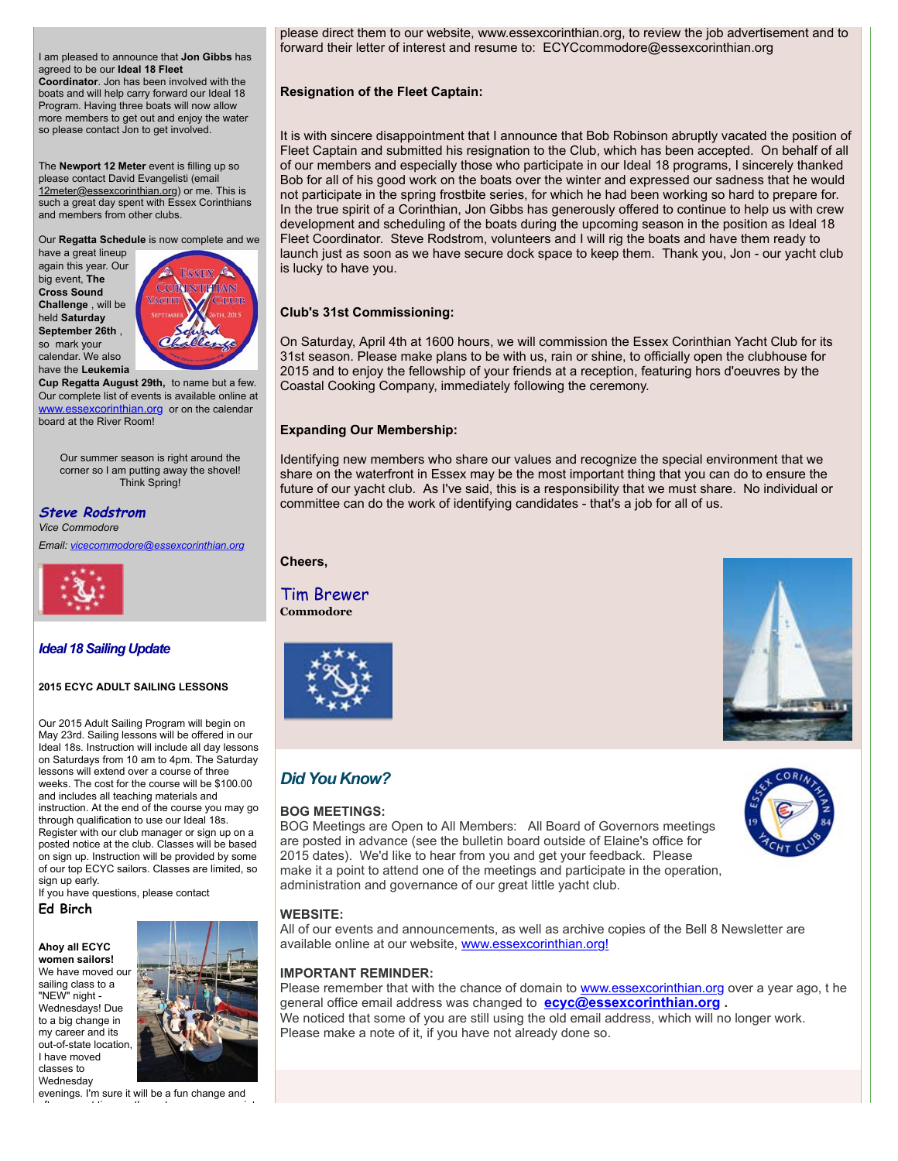I am pleased to announce that **Jon Gibbs** has agreed to be our **Ideal 18 Fleet**

**Coordinator**. Jon has been involved with the boats and will help carry forward our Ideal 18 Program. Having three boats will now allow more members to get out and enjoy the water so please contact Jon to get involved.

The **Newport 12 Meter** event is filling up so please contact David Evangelisti (email [12meter@essexcorinthian.org\)](mailto:12meter@essexcorinthian.org) or me. This is such a great day spent with Essex Corinthians and members from other clubs.

Our **Regatta Schedule** is now complete and we

have a great lineup again this year. Our big event, **The Cross Sound Challenge** , will be held **Saturday September 26th** , so mark your calendar. We also have the **Leukemia**



**Cup Regatta August 29th,** to name but a few. Our complete list of events is available online at [www.essexcorinthian.org](http://r20.rs6.net/tn.jsp?e=0013bWYfMFswkB5iqTT9mWJfsSKYTb1TXfHvO72Bxou-pgussqz6SDzl7LPAoa5Equ_wJu0ID_fjEz41iVuor1BDxNQmuj2o33G0-AMpGt_GLSTy_eZIJGN4w==) or on the calendar board at the River Room!

Our summer season is right around the corner so I am putting away the shovel! Think Spring!

**Steve Rodstrom** *Vice Commodore*

*Email: [vicecommodore@essexcorinthian.org](mailto:vicecommodore@essexcorinthian.org)*



### *Ideal 18 Sailing Update*

### **2015 ECYC ADULT SAILING LESSONS**

Our 2015 Adult Sailing Program will begin on May 23rd. Sailing lessons will be offered in our Ideal 18s. Instruction will include all day lessons on Saturdays from 10 am to 4pm. The Saturday lessons will extend over a course of three weeks. The cost for the course will be \$100.00 and includes all teaching materials and instruction. At the end of the course you may go through qualification to use our Ideal 18s. Register with our club manager or sign up on a posted notice at the club. Classes will be based on sign up. Instruction will be provided by some of our top ECYC sailors. Classes are limited, so sign up early.

If you have questions, please contact

### **Ed Birch**

**Ahoy all ECYC women sailors!** We have moved our sailing class to a "NEW" night - Wednesdays! Due to a big change in my career and its out-of-state location, I have moved classes to Wednesday



evenings. I'm sure it will be a fun change and after a great time on the water we can come into please direct them to our website, www.essexcorinthian.org, to review the job advertisement and to forward their letter of interest and resume to: ECYCcommodore@essexcorinthian.org

### **Resignation of the Fleet Captain:**

It is with sincere disappointment that I announce that Bob Robinson abruptly vacated the position of Fleet Captain and submitted his resignation to the Club, which has been accepted. On behalf of all of our members and especially those who participate in our Ideal 18 programs, I sincerely thanked Bob for all of his good work on the boats over the winter and expressed our sadness that he would not participate in the spring frostbite series, for which he had been working so hard to prepare for. In the true spirit of a Corinthian, Jon Gibbs has generously offered to continue to help us with crew development and scheduling of the boats during the upcoming season in the position as Ideal 18 Fleet Coordinator. Steve Rodstrom, volunteers and I will rig the boats and have them ready to launch just as soon as we have secure dock space to keep them. Thank you, Jon - our yacht club is lucky to have you.

### **Club's 31st Commissioning:**

On Saturday, April 4th at 1600 hours, we will commission the Essex Corinthian Yacht Club for its 31st season. Please make plans to be with us, rain or shine, to officially open the clubhouse for 2015 and to enjoy the fellowship of your friends at a reception, featuring hors d'oeuvres by the Coastal Cooking Company, immediately following the ceremony.

### **Expanding Our Membership:**

Identifying new members who share our values and recognize the special environment that we share on the waterfront in Essex may be the most important thing that you can do to ensure the future of our yacht club. As I've said, this is a responsibility that we must share. No individual or committee can do the work of identifying candidates - that's a job for all of us.

### **Cheers,**

### Tim Brewer **Commodore**



# *Did You Know?*

### **BOG MEETINGS:**

BOG Meetings are Open to All Members: All Board of Governors meetings are posted in advance (see the bulletin board outside of Elaine's office for 2015 dates). We'd like to hear from you and get your feedback. Please make it a point to attend one of the meetings and participate in the operation, administration and governance of our great little yacht club.

### **WEBSITE:**

All of our events and announcements, as well as archive copies of the Bell 8 Newsletter are available online at our website, [www.essexcorinthian.org!](http://r20.rs6.net/tn.jsp?e=0013bWYfMFswkB5iqTT9mWJfsSKYTb1TXfHvO72Bxou-pgussqz6SDzl7LPAoa5Equ_wJu0ID_fjEz41iVuor1BDxNQmuj2o33G0-AMpGt_GLRp77_jt6IISw==)

### **IMPORTANT REMINDER:**

Please remember that with the chance of domain to **[www.essexcorinthian.org](http://r20.rs6.net/tn.jsp?e=0013bWYfMFswkB5iqTT9mWJfsSKYTb1TXfHvO72Bxou-pgussqz6SDzl7LPAoa5Equ_wJu0ID_fjEz41iVuor1BDxNQmuj2o33G0-AMpGt_GLSTy_eZIJGN4w==)** over a year ago, t he general office email address was changed to **[ecyc@essexcorinthian.org](mailto:ecyc@essexcorinthian.org) .**  We noticed that some of you are still using the old email address, which will no longer work. Please make a note of it, if you have not already done so.



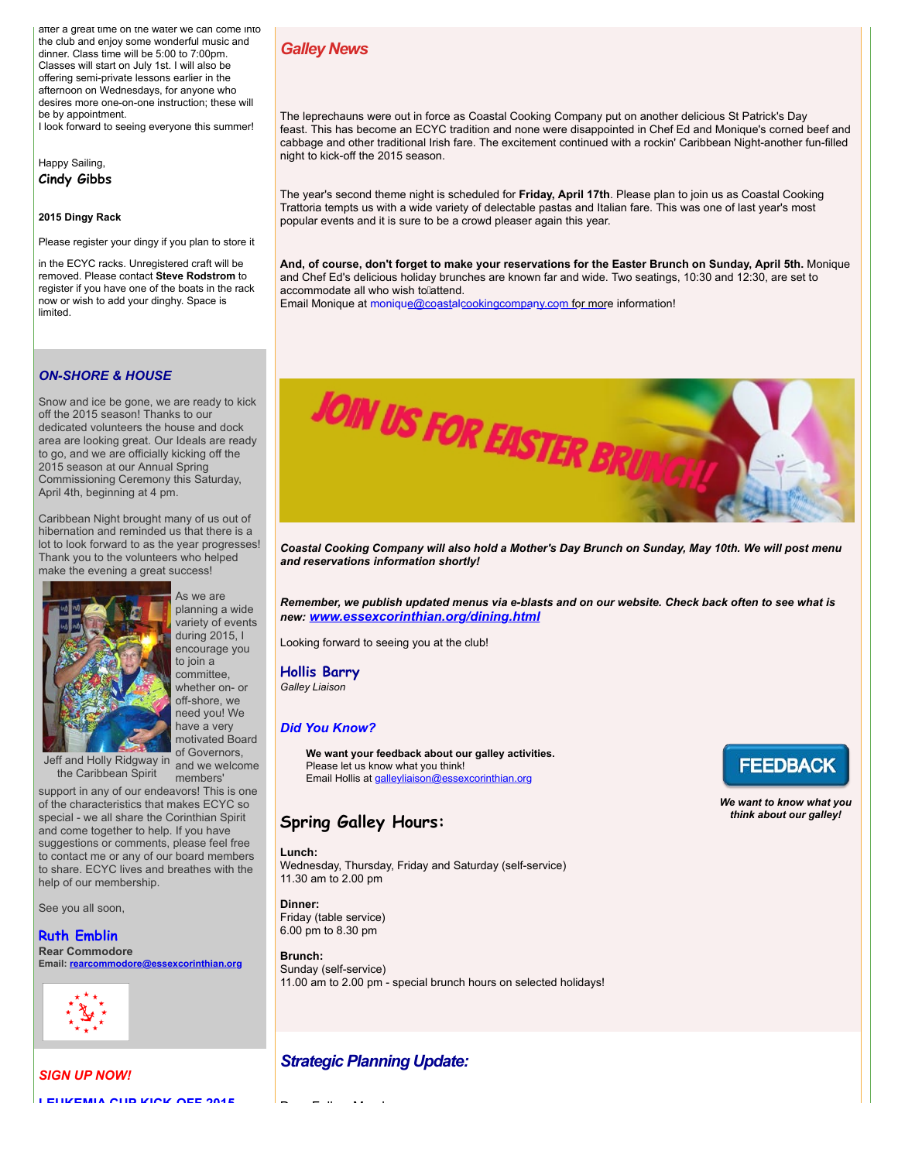after a great time on the water we can come into the club and enjoy some wonderful music and dinner. Class time will be 5:00 to 7:00pm. Classes will start on July 1st. I will also be offering semi-private lessons earlier in the afternoon on Wednesdays, for anyone who desires more one-on-one instruction; these will be by appointment.

I look forward to seeing everyone this summer!

Happy Sailing, **Cindy Gibbs**

#### **2015 Dingy Rack**

Please register your dingy if you plan to store it

in the ECYC racks. Unregistered craft will be removed. Please contact **Steve Rodstrom** to register if you have one of the boats in the rack now or wish to add your dinghy. Space is limited.

### *ON-SHORE & HOUSE*

Snow and ice be gone, we are ready to kick off the 2015 season! Thanks to our dedicated volunteers the house and dock area are looking great. Our Ideals are ready to go, and we are officially kicking off the 2015 season at our Annual Spring Commissioning Ceremony this Saturday, April 4th, beginning at 4 pm.

Caribbean Night brought many of us out of hibernation and reminded us that there is a lot to look forward to as the year progresses! Thank you to the volunteers who helped make the evening a great success!



planning a wide variety of events during 2015, I encourage you to join a committee, whether on- or off-shore, we need you! We have a very motivated Board of Governors, and we welcome

Jeff and Holly Ridgway in the Caribbean Spirit

members' support in any of our endeavors! This is one of the characteristics that makes ECYC so special - we all share the Corinthian Spirit and come together to help. If you have suggestions or comments, please feel free to contact me or any of our board members to share. ECYC lives and breathes with the help of our membership.

See you all soon,

### **Ruth Emblin Rear Commodore**

**Email: [rearcommodore@essexcorinthian.org](mailto:rearcommodore@essexcorinthian.org)**



*SIGN UP NOW!* **LEUKEMIA CUP KICK-OFF 2015**

### *Galley News*

The leprechauns were out in force as Coastal Cooking Company put on another delicious St Patrick's Day feast. This has become an ECYC tradition and none were disappointed in Chef Ed and Monique's corned beef and cabbage and other traditional Irish fare. The excitement continued with a rockin' Caribbean Night-another fun-filled night to kick-off the 2015 season.

The year's second theme night is scheduled for **Friday, April 17th**. Please plan to join us as Coastal Cooking Trattoria tempts us with a wide variety of delectable pastas and Italian fare. This was one of last year's most popular events and it is sure to be a crowd pleaser again this year.

**And, of course, don't forget to make your reservations for the Easter Brunch on Sunday, April 5th.** Monique and Chef Ed's delicious holiday brunches are known far and wide. Two seatings, 10:30 and 12:30, are set to accommodate all who wish to attend.

Email Monique at moniqu[e@coastalcookingcompany.com for mor](mailto:monique@coastalcookingcompany.com)e information!



*Coastal Cooking Company will also hold a Mother's Day Brunch on Sunday, May 10th. We will post menu and reservations information shortly!* 

*Remember, we publish updated menus via e-blasts and on our website. Check back often to see what is new: [www.essexcorinthian.org/dining.html](http://r20.rs6.net/tn.jsp?e=0013bWYfMFswkB5iqTT9mWJfsSKYTb1TXfHvO72Bxou-pgussqz6SDzl7LPAoa5Equ_wJu0ID_fjEz41iVuor1BDxNQmuj2o33G0-AMpGt_GLQSl8cw2x9OU7Uf16a5hm0l)* 

Looking forward to seeing you at the club!

### **Hollis Barry**

*Galley Liaison*

### *Did You Know?*

**We want your feedback about our galley activities.** Please let us know what you think! Email Hollis at [galleyliaison@essexcorinthian.org](mailto:galleyliaison@essexcorinthian.org)

### **Spring Galley Hours:**

#### **Lunch:**

Wednesday, Thursday, Friday and Saturday (self-service) 11.30 am to 2.00 pm

#### **Dinner:**

Friday (table service) 6.00 pm to 8.30 pm

#### **Brunch:**

Sunday (self-service) 11.00 am to 2.00 pm - special brunch hours on selected holidays!

### *Strategic Planning Update:*

Dear Fellow Members,



*We want to know what you think about our galley!*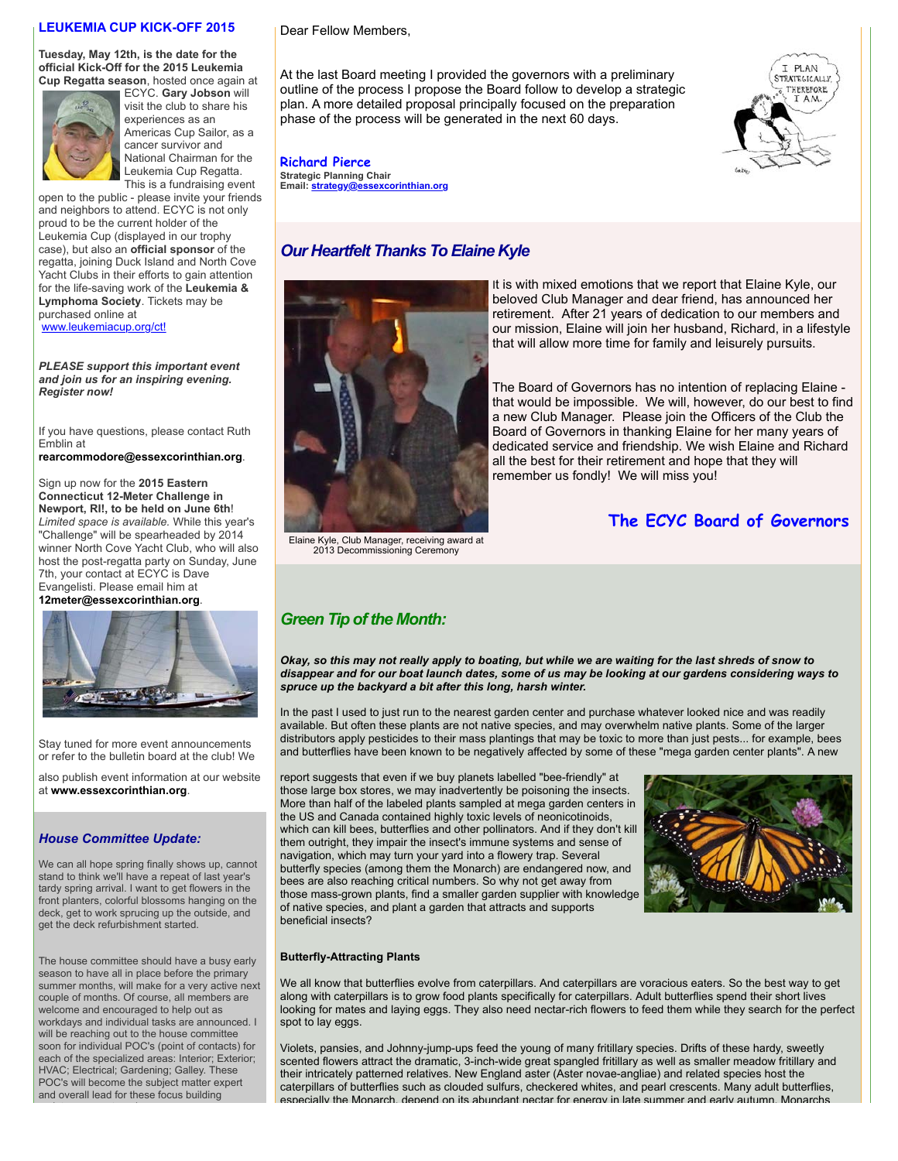### **LEUKEMIA CUP KICK-OFF 2015**

**Tuesday, May 12th, is the date for the official Kick-Off for the 2015 Leukemia Cup Regatta season**, hosted once again at



ECYC. **Gary Jobson** will visit the club to share his experiences as an Americas Cup Sailor, as a cancer survivor and National Chairman for the Leukemia Cup Regatta. This is a fundraising event

open to the public - please invite your friends and neighbors to attend. ECYC is not only proud to be the current holder of the Leukemia Cup (displayed in our trophy case), but also an **official sponsor** of the regatta, joining Duck Island and North Cove Yacht Clubs in their efforts to gain attention for the life-saving work of the **Leukemia & Lymphoma Society**. Tickets may be purchased online at [www.leukemiacup.org/ct!](http://r20.rs6.net/tn.jsp?e=0013bWYfMFswkB5iqTT9mWJfsSKYTb1TXfHvO72Bxou-pgussqz6SDzl7LPAoa5Equ_wJu0ID_fjExhwI7SAqPlp255rOqEpJOQqYlhoo6etvLnyEchlqjZog==)

*PLEASE support this important event*

*and join us for an inspiring evening. Register now!* 

If you have questions, please contact Ruth Emblin at

**[rearcommodore@essexcorinthian.org](mailto:rearcommodore@essexcorinthian.org)**.

Sign up now for the **2015 Eastern Connecticut 12-Meter Challenge in Newport, RI!, to be held on June 6th**! *Limited space is available.* While this year's "Challenge" will be spearheaded by 2014 winner North Cove Yacht Club, who will also host the post-regatta party on Sunday, June 7th, your contact at ECYC is Dave Evangelisti. Please email him at

**[12meter@essexcorinthian.org](mailto:12meter@essexcorinthian.org)**.



Stay tuned for more event announcements or refer to the bulletin board at the club! We

also publish event information at our website at **[www.essexcorinthian.org](http://r20.rs6.net/tn.jsp?e=0013bWYfMFswkB5iqTT9mWJfsSKYTb1TXfHvO72Bxou-pgussqz6SDzl7LPAoa5Equ_wJu0ID_fjEz41iVuor1BDxNQmuj2o33G0-AMpGt_GLSTy_eZIJGN4w==)**.

#### *House Committee Update:*

We can all hope spring finally shows up, cannot stand to think we'll have a repeat of last year's tardy spring arrival. I want to get flowers in the front planters, colorful blossoms hanging on the deck, get to work sprucing up the outside, and get the deck refurbishment started.

The house committee should have a busy early season to have all in place before the primary summer months, will make for a very active next couple of months. Of course, all members are welcome and encouraged to help out as workdays and individual tasks are announced. I will be reaching out to the house committee soon for individual POC's (point of contacts) for each of the specialized areas: Interior; Exterior; HVAC; Electrical; Gardening; Galley. These POC's will become the subject matter expert and overall lead for these focus building

Dear Fellow Members,

At the last Board meeting I provided the governors with a preliminary outline of the process I propose the Board follow to develop a strategic plan. A more detailed proposal principally focused on the preparation phase of the process will be generated in the next 60 days.



**Richard Pierce Strategic Planning Chair Email: [strategy@essexcorinthian.org](mailto:strategy@essexcorinthian.org)**

### *Our Heartfelt Thanks To Elaine Kyle*



Elaine Kyle, Club Manager, receiving award at 2013 Decommissioning Ceremony

### *Green Tip of the Month:*

*Okay, so this may not really apply to boating, but while we are waiting for the last shreds of snow to disappear and for our boat launch dates, some of us may be looking at our gardens considering ways to spruce up the backyard a bit after this long, harsh winter.*

In the past I used to just run to the nearest garden center and purchase whatever looked nice and was readily available. But often these plants are not native species, and may overwhelm native plants. Some of the larger distributors apply pesticides to their mass plantings that may be toxic to more than just pests... for example, bees and butterflies have been known to be negatively affected by some of these "mega garden center plants". A new

report suggests that even if we buy planets labelled "bee-friendly" at those large box stores, we may inadvertently be poisoning the insects. More than half of the labeled plants sampled at mega garden centers in the US and Canada contained highly toxic levels of neonicotinoids, which can kill bees, butterflies and other pollinators. And if they don't kill them outright, they impair the insect's immune systems and sense of navigation, which may turn your yard into a flowery trap. Several butterfly species (among them the Monarch) are endangered now, and bees are also reaching critical numbers. So why not get away from those mass-grown plants, find a smaller garden supplier with knowledge of native species, and plant a garden that attracts and supports beneficial insects?



**The ECYC Board of Governors** 

#### **Butterfly-Attracting Plants**

We all know that butterflies evolve from caterpillars. And caterpillars are voracious eaters. So the best way to get along with caterpillars is to grow food plants specifically for caterpillars. Adult butterflies spend their short lives looking for mates and laying eggs. They also need nectar-rich flowers to feed them while they search for the perfect spot to lay eggs.

Violets, pansies, and Johnny-jump-ups feed the young of many fritillary species. Drifts of these hardy, sweetly scented flowers attract the dramatic, 3-inch-wide great spangled fritillary as well as smaller meadow fritillary and their intricately patterned relatives. New England aster (Aster novae-angliae) and related species host the caterpillars of butterflies such as clouded sulfurs, checkered whites, and pearl crescents. Many adult butterflies, especially the Monarch, depend on its abundant nectar for energy in late summer and early autumn. Monarchs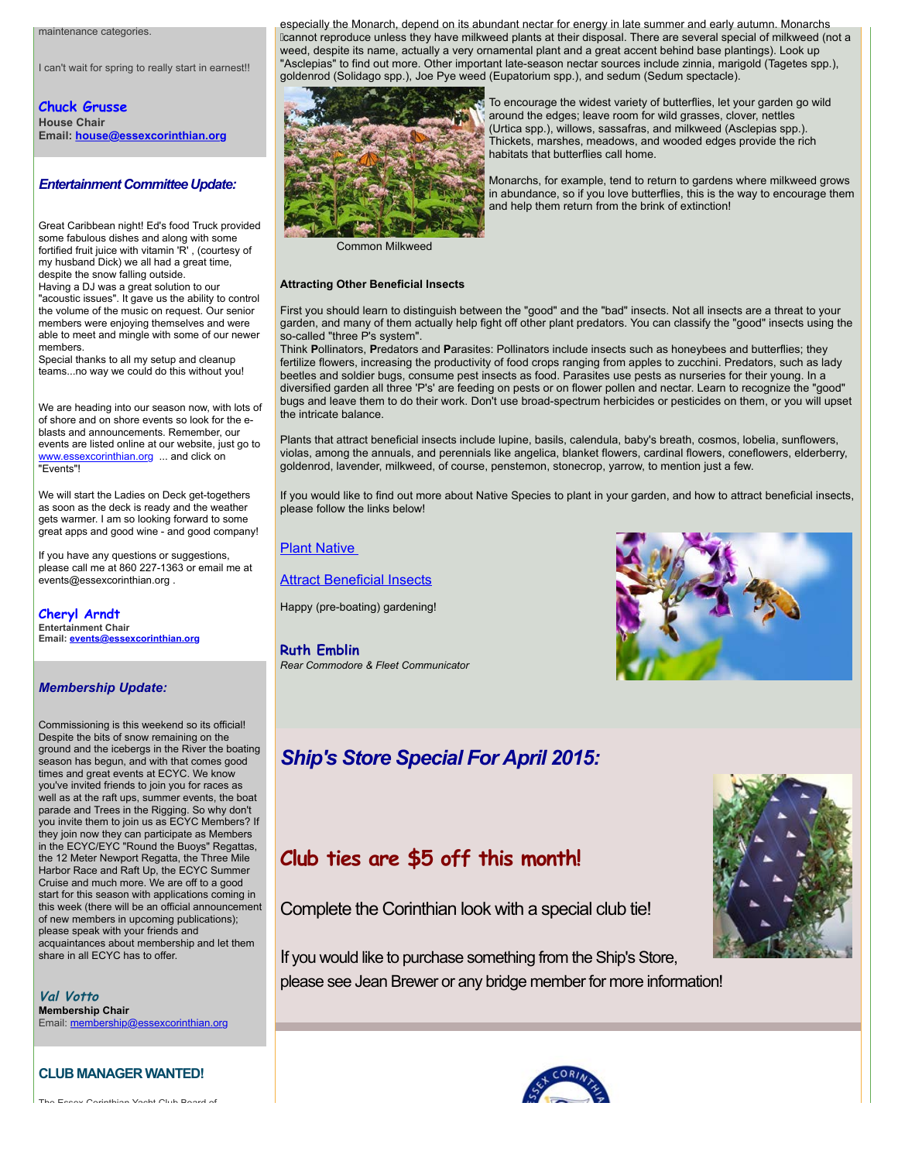maintenance categories.

I can't wait for spring to really start in earnest!!

**Chuck Grusse House Chair Email: [house@essexcorinthian.org](mailto:house@essexcorinthian.org)**

### *Entertainment Committee Update:*

Great Caribbean night! Ed's food Truck provided some fabulous dishes and along with some fortified fruit juice with vitamin 'R' , (courtesy of my husband Dick) we all had a great time, despite the snow falling outside.

Having a DJ was a great solution to our "acoustic issues". It gave us the ability to control the volume of the music on request. Our senior members were enjoying themselves and were able to meet and mingle with some of our newer members.

Special thanks to all my setup and cleanup teams...no way we could do this without you!

We are heading into our season now, with lots of of shore and on shore events so look for the eblasts and announcements. Remember, our events are listed online at our website, just go to [www.essexcorinthian.org](http://r20.rs6.net/tn.jsp?e=0013bWYfMFswkB5iqTT9mWJfsSKYTb1TXfHvO72Bxou-pgussqz6SDzl7LPAoa5Equ_wJu0ID_fjEz41iVuor1BDxNQmuj2o33G0-AMpGt_GLSTy_eZIJGN4w==) ... and click on "Events"!

We will start the Ladies on Deck get-togethers as soon as the deck is ready and the weather gets warmer. I am so looking forward to some great apps and good wine - and good company!

If you have any questions or suggestions, please call me at 860 227-1363 or email me at events@essexcorinthian.org .

**Cheryl Arndt Entertainment Chair Email: [events@essexcorinthian.org](mailto:events@essexcorinthian.org)**

### *Membership Update:*

Commissioning is this weekend so its official! Despite the bits of snow remaining on the ground and the icebergs in the River the boating season has begun, and with that comes good times and great events at ECYC. We know you've invited friends to join you for races as well as at the raft ups, summer events, the boat parade and Trees in the Rigging. So why don't you invite them to join us as ECYC Members? If they join now they can participate as Members in the ECYC/EYC "Round the Buoys" Regattas, the 12 Meter Newport Regatta, the Three Mile Harbor Race and Raft Up, the ECYC Summer Cruise and much more. We are off to a good start for this season with applications coming in this week (there will be an official announcement of new members in upcoming publications); please speak with your friends and acquaintances about membership and let them share in all ECYC has to offer.

**Val Votto Membership Chair** Email: [membership@essexcorinthian.org](mailto:membership@essexcorinthian.org)

### **CLUB MANAGER WANTED!**

The Essex Corinthian Yacht Club Board of

especially the Monarch, depend on its abundant nectar for energy in late summer and early autumn. Monarchs  $k$ annot reproduce unless they have milkweed plants at their disposal. There are several special of milkweed (not a weed, despite its name, actually a very ornamental plant and a great accent behind base plantings). Look up "Asclepias" to find out more. Other important late-season nectar sources include zinnia, marigold (Tagetes spp.), goldenrod (Solidago spp.), Joe Pye weed (Eupatorium spp.), and sedum (Sedum spectacle).



To encourage the widest variety of butterflies, let your garden go wild around the edges; leave room for wild grasses, clover, nettles (Urtica spp.), willows, sassafras, and milkweed (Asclepias spp.). Thickets, marshes, meadows, and wooded edges provide the rich habitats that butterflies call home.

Monarchs, for example, tend to return to gardens where milkweed grows in abundance, so if you love butterflies, this is the way to encourage them and help them return from the brink of extinction!

Common Milkweed

#### **Attracting Other Beneficial Insects**

First you should learn to distinguish between the "good" and the "bad" insects. Not all insects are a threat to your garden, and many of them actually help fight off other plant predators. You can classify the "good" insects using the so-called "three P's system".

Think **P**ollinators, **P**redators and **P**arasites: Pollinators include insects such as honeybees and butterflies; they fertilize flowers, increasing the productivity of food crops ranging from apples to zucchini. Predators, such as lady beetles and soldier bugs, consume pest insects as food. Parasites use pests as nurseries for their young. In a diversified garden all three 'P's' are feeding on pests or on flower pollen and nectar. Learn to recognize the "good" bugs and leave them to do their work. Don't use broad-spectrum herbicides or pesticides on them, or you will upset the intricate balance.

Plants that attract beneficial insects include lupine, basils, calendula, baby's breath, cosmos, lobelia, sunflowers, violas, among the annuals, and perennials like angelica, blanket flowers, cardinal flowers, coneflowers, elderberry, goldenrod, lavender, milkweed, of course, penstemon, stonecrop, yarrow, to mention just a few.

If you would like to find out more about Native Species to plant in your garden, and how to attract beneficial insects, please follow the links below!

### [Plant Native](http://r20.rs6.net/tn.jsp?e=0013bWYfMFswkB5iqTT9mWJfsSKYTb1TXfHvO72Bxou-pgussqz6SDzl7LPAoa5Equ_wJu0ID_fjEzNQmOqTrEa2Kw4HmSbjzJOQUlsYK26ABfrqXmkV7ZdnwR_1ckz0JIb)

**[Attract Beneficial Insects](http://r20.rs6.net/tn.jsp?e=0013bWYfMFswkB5iqTT9mWJfsSKYTb1TXfHvO72Bxou-pgussqz6SDzl7LPAoa5Equ_wJu0ID_fjEy_9UiUGco3Q4x2hovBcilYK7RX8dzeK3hIibH4j94gAzONtQwz-ZFFaE3OR3OThntNLPwMci7FMhv9hKlU59Q8I8SonDDG2ZbswB6eKxzR0S5QEKJ4LpP23ZhCk9Ty6CGxAmLgKG4Cpg==)** 

Happy (pre-boating) gardening!

**Ruth Emblin** *Rear Commodore & Fleet Communicator*



# *Ship's Store Special For April 2015:*



# **Club ties are \$5 off this month!**

Complete the Corinthian look with a special club tie!

If you would like to purchase something from the Ship's Store, please see Jean Brewer or any bridge member for more information!